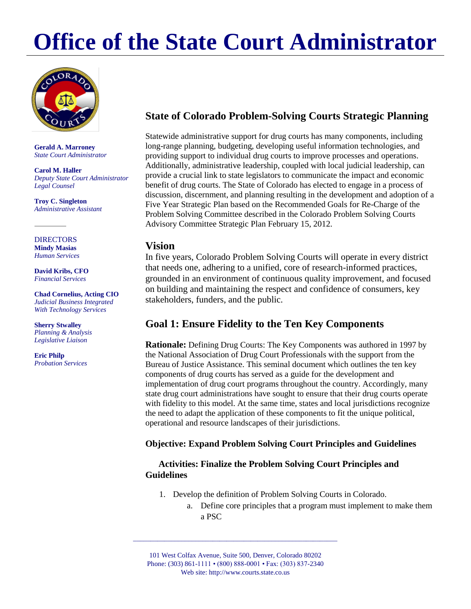# **Office of the State Court Administrator**



**Gerald A. Marroney** *State Court Administrator*

**Carol M. Haller** *Deputy State Court Administrator Legal Counsel*

**Troy C. Singleton** *Administrative Assistant*

#### **DIRECTORS Mindy Masias** *Human Services*

**David Kribs, CFO** *Financial Services*

**Chad Cornelius, Acting CIO** *Judicial Business Integrated With Technology Services*

**Sherry Stwalley** *Planning & Analysis Legislative Liaison*

**Eric Philp** *Probation Services*

## **State of Colorado Problem-Solving Courts Strategic Planning**

Statewide administrative support for drug courts has many components, including long-range planning, budgeting, developing useful information technologies, and providing support to individual drug courts to improve processes and operations. Additionally, administrative leadership, coupled with local judicial leadership, can provide a crucial link to state legislators to communicate the impact and economic benefit of drug courts. The State of Colorado has elected to engage in a process of discussion, discernment, and planning resulting in the development and adoption of a Five Year Strategic Plan based on the Recommended Goals for Re-Charge of the Problem Solving Committee described in the Colorado Problem Solving Courts Advisory Committee Strategic Plan February 15, 2012.

### **Vision**

In five years, Colorado Problem Solving Courts will operate in every district that needs one, adhering to a unified, core of research-informed practices, grounded in an environment of continuous quality improvement, and focused on building and maintaining the respect and confidence of consumers, key stakeholders, funders, and the public.

## **Goal 1: Ensure Fidelity to the Ten Key Components**

**Rationale:** Defining Drug Courts: The Key Components was authored in 1997 by the National Association of Drug Court Professionals with the support from the Bureau of Justice Assistance. This seminal document which outlines the ten key components of drug courts has served as a guide for the development and implementation of drug court programs throughout the country. Accordingly, many state drug court administrations have sought to ensure that their drug courts operate with fidelity to this model. At the same time, states and local jurisdictions recognize the need to adapt the application of these components to fit the unique political, operational and resource landscapes of their jurisdictions.

#### **Objective: Expand Problem Solving Court Principles and Guidelines**

#### **Activities: Finalize the Problem Solving Court Principles and Guidelines**

- 1. Develop the definition of Problem Solving Courts in Colorado.
	- a. Define core principles that a program must implement to make them a PSC

101 West Colfax Avenue, Suite 500, Denver, Colorado 80202 Phone: (303) 861-1111 • (800) 888-0001 • Fax: (303) 837-2340 Web site: http://www.courts.state.co.us

\_\_\_\_\_\_\_\_\_\_\_\_\_\_\_\_\_\_\_\_\_\_\_\_\_\_\_\_\_\_\_\_\_\_\_\_\_\_\_\_\_\_\_\_\_\_\_\_\_\_\_\_\_\_\_\_\_\_\_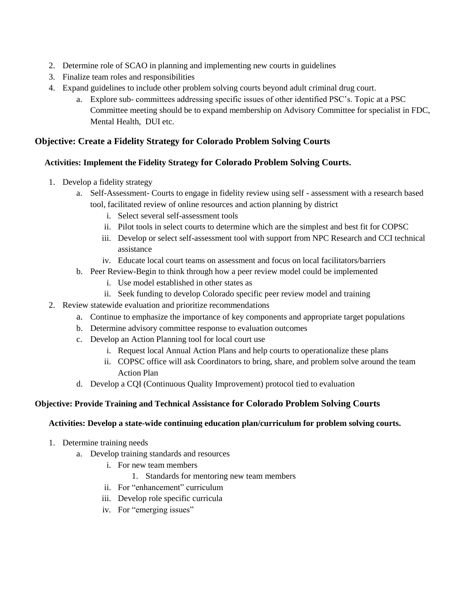- 2. Determine role of SCAO in planning and implementing new courts in guidelines
- 3. Finalize team roles and responsibilities
- 4. Expand guidelines to include other problem solving courts beyond adult criminal drug court.
	- a. Explore sub- committees addressing specific issues of other identified PSC's. Topic at a PSC Committee meeting should be to expand membership on Advisory Committee for specialist in FDC, Mental Health, DUI etc.

#### **Objective: Create a Fidelity Strategy for Colorado Problem Solving Courts**

#### **Activities: Implement the Fidelity Strategy for Colorado Problem Solving Courts.**

- 1. Develop a fidelity strategy
	- a. Self-Assessment- Courts to engage in fidelity review using self assessment with a research based tool, facilitated review of online resources and action planning by district
		- i. Select several self-assessment tools
		- ii. Pilot tools in select courts to determine which are the simplest and best fit for COPSC
		- iii. Develop or select self-assessment tool with support from NPC Research and CCI technical assistance
		- iv. Educate local court teams on assessment and focus on local facilitators/barriers
	- b. Peer Review-Begin to think through how a peer review model could be implemented
		- i. Use model established in other states as
		- ii. Seek funding to develop Colorado specific peer review model and training
- 2. Review statewide evaluation and prioritize recommendations
	- a. Continue to emphasize the importance of key components and appropriate target populations
	- b. Determine advisory committee response to evaluation outcomes
	- c. Develop an Action Planning tool for local court use
		- i. Request local Annual Action Plans and help courts to operationalize these plans
		- ii. COPSC office will ask Coordinators to bring, share, and problem solve around the team Action Plan
	- d. Develop a CQI (Continuous Quality Improvement) protocol tied to evaluation

#### **Objective: Provide Training and Technical Assistance for Colorado Problem Solving Courts**

#### **Activities: Develop a state-wide continuing education plan/curriculum for problem solving courts.**

- 1. Determine training needs
	- a. Develop training standards and resources
		- i. For new team members
			- 1. Standards for mentoring new team members
		- ii. For "enhancement" curriculum
		- iii. Develop role specific curricula
		- iv. For "emerging issues"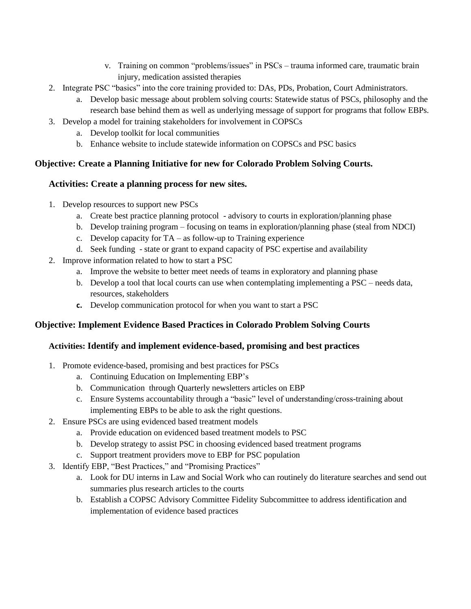- v. Training on common "problems/issues" in PSCs trauma informed care, traumatic brain injury, medication assisted therapies
- 2. Integrate PSC "basics" into the core training provided to: DAs, PDs, Probation, Court Administrators.
	- a. Develop basic message about problem solving courts: Statewide status of PSCs, philosophy and the research base behind them as well as underlying message of support for programs that follow EBPs.
- 3. Develop a model for training stakeholders for involvement in COPSCs
	- a. Develop toolkit for local communities
	- b. Enhance website to include statewide information on COPSCs and PSC basics

#### **Objective: Create a Planning Initiative for new for Colorado Problem Solving Courts.**

#### **Activities: Create a planning process for new sites.**

- 1. Develop resources to support new PSCs
	- a. Create best practice planning protocol advisory to courts in exploration/planning phase
	- b. Develop training program focusing on teams in exploration/planning phase (steal from NDCI)
	- c. Develop capacity for TA as follow-up to Training experience
	- d. Seek funding state or grant to expand capacity of PSC expertise and availability
- 2. Improve information related to how to start a PSC
	- a. Improve the website to better meet needs of teams in exploratory and planning phase
	- b. Develop a tool that local courts can use when contemplating implementing a PSC needs data, resources, stakeholders
	- **c.** Develop communication protocol for when you want to start a PSC

#### **Objective: Implement Evidence Based Practices in Colorado Problem Solving Courts**

#### **Activities: Identify and implement evidence-based, promising and best practices**

- 1. Promote evidence-based, promising and best practices for PSCs
	- a. Continuing Education on Implementing EBP's
	- b. Communication through Quarterly newsletters articles on EBP
	- c. Ensure Systems accountability through a "basic" level of understanding/cross-training about implementing EBPs to be able to ask the right questions.
- 2. Ensure PSCs are using evidenced based treatment models
	- a. Provide education on evidenced based treatment models to PSC
	- b. Develop strategy to assist PSC in choosing evidenced based treatment programs
	- c. Support treatment providers move to EBP for PSC population
- 3. Identify EBP, "Best Practices," and "Promising Practices"
	- a. Look for DU interns in Law and Social Work who can routinely do literature searches and send out summaries plus research articles to the courts
	- b. Establish a COPSC Advisory Committee Fidelity Subcommittee to address identification and implementation of evidence based practices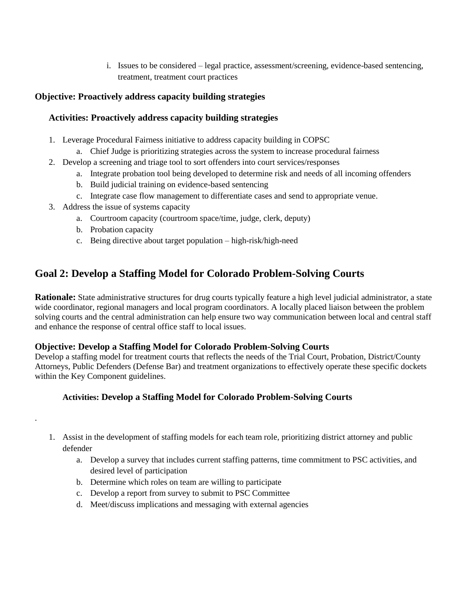i. Issues to be considered – legal practice, assessment/screening, evidence-based sentencing, treatment, treatment court practices

#### **Objective: Proactively address capacity building strategies**

#### **Activities: Proactively address capacity building strategies**

- 1. Leverage Procedural Fairness initiative to address capacity building in COPSC
	- a. Chief Judge is prioritizing strategies across the system to increase procedural fairness
- 2. Develop a screening and triage tool to sort offenders into court services/responses
	- a. Integrate probation tool being developed to determine risk and needs of all incoming offenders
	- b. Build judicial training on evidence-based sentencing
	- c. Integrate case flow management to differentiate cases and send to appropriate venue.
- 3. Address the issue of systems capacity
	- a. Courtroom capacity (courtroom space/time, judge, clerk, deputy)
	- b. Probation capacity

.

c. Being directive about target population – high-risk/high-need

## **Goal 2: Develop a Staffing Model for Colorado Problem-Solving Courts**

**Rationale:** State administrative structures for drug courts typically feature a high level judicial administrator, a state wide coordinator, regional managers and local program coordinators. A locally placed liaison between the problem solving courts and the central administration can help ensure two way communication between local and central staff and enhance the response of central office staff to local issues.

#### **Objective: Develop a Staffing Model for Colorado Problem-Solving Courts**

Develop a staffing model for treatment courts that reflects the needs of the Trial Court, Probation, District/County Attorneys, Public Defenders (Defense Bar) and treatment organizations to effectively operate these specific dockets within the Key Component guidelines.

#### **Activities: Develop a Staffing Model for Colorado Problem-Solving Courts**

- 1. Assist in the development of staffing models for each team role, prioritizing district attorney and public defender
	- a. Develop a survey that includes current staffing patterns, time commitment to PSC activities, and desired level of participation
	- b. Determine which roles on team are willing to participate
	- c. Develop a report from survey to submit to PSC Committee
	- d. Meet/discuss implications and messaging with external agencies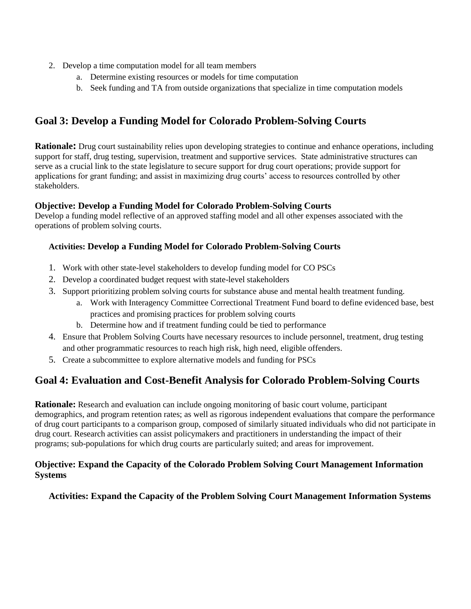- 2. Develop a time computation model for all team members
	- a. Determine existing resources or models for time computation
	- b. Seek funding and TA from outside organizations that specialize in time computation models

## **Goal 3: Develop a Funding Model for Colorado Problem-Solving Courts**

**Rationale:** Drug court sustainability relies upon developing strategies to continue and enhance operations, including support for staff, drug testing, supervision, treatment and supportive services. State administrative structures can serve as a crucial link to the state legislature to secure support for drug court operations; provide support for applications for grant funding; and assist in maximizing drug courts' access to resources controlled by other stakeholders.

#### **Objective: Develop a Funding Model for Colorado Problem-Solving Courts**

Develop a funding model reflective of an approved staffing model and all other expenses associated with the operations of problem solving courts.

#### **Activities: Develop a Funding Model for Colorado Problem-Solving Courts**

- 1. Work with other state-level stakeholders to develop funding model for CO PSCs
- 2. Develop a coordinated budget request with state-level stakeholders
- 3. Support prioritizing problem solving courts for substance abuse and mental health treatment funding.
	- a. Work with Interagency Committee Correctional Treatment Fund board to define evidenced base, best practices and promising practices for problem solving courts
	- b. Determine how and if treatment funding could be tied to performance
- 4. Ensure that Problem Solving Courts have necessary resources to include personnel, treatment, drug testing and other programmatic resources to reach high risk, high need, eligible offenders.
- 5. Create a subcommittee to explore alternative models and funding for PSCs

## **Goal 4: Evaluation and Cost-Benefit Analysis for Colorado Problem-Solving Courts**

**Rationale:** Research and evaluation can include ongoing monitoring of basic court volume, participant demographics, and program retention rates; as well as rigorous independent evaluations that compare the performance of drug court participants to a comparison group, composed of similarly situated individuals who did not participate in drug court. Research activities can assist policymakers and practitioners in understanding the impact of their programs; sub-populations for which drug courts are particularly suited; and areas for improvement.

#### **Objective: Expand the Capacity of the Colorado Problem Solving Court Management Information Systems**

#### **Activities: Expand the Capacity of the Problem Solving Court Management Information Systems**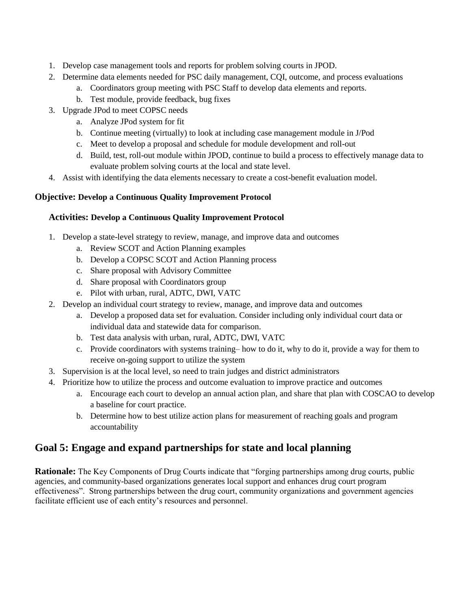- 1. Develop case management tools and reports for problem solving courts in JPOD.
- 2. Determine data elements needed for PSC daily management, CQI, outcome, and process evaluations
	- a. Coordinators group meeting with PSC Staff to develop data elements and reports.
	- b. Test module, provide feedback, bug fixes
- 3. Upgrade JPod to meet COPSC needs
	- a. Analyze JPod system for fit
	- b. Continue meeting (virtually) to look at including case management module in J/Pod
	- c. Meet to develop a proposal and schedule for module development and roll-out
	- d. Build, test, roll-out module within JPOD, continue to build a process to effectively manage data to evaluate problem solving courts at the local and state level.
- 4. Assist with identifying the data elements necessary to create a cost-benefit evaluation model.

#### **Objective: Develop a Continuous Quality Improvement Protocol**

#### **Activities: Develop a Continuous Quality Improvement Protocol**

- 1. Develop a state-level strategy to review, manage, and improve data and outcomes
	- a. Review SCOT and Action Planning examples
	- b. Develop a COPSC SCOT and Action Planning process
	- c. Share proposal with Advisory Committee
	- d. Share proposal with Coordinators group
	- e. Pilot with urban, rural, ADTC, DWI, VATC
- 2. Develop an individual court strategy to review, manage, and improve data and outcomes
	- a. Develop a proposed data set for evaluation. Consider including only individual court data or individual data and statewide data for comparison.
	- b. Test data analysis with urban, rural, ADTC, DWI, VATC
	- c. Provide coordinators with systems training– how to do it, why to do it, provide a way for them to receive on-going support to utilize the system
- 3. Supervision is at the local level, so need to train judges and district administrators
- 4. Prioritize how to utilize the process and outcome evaluation to improve practice and outcomes
	- a. Encourage each court to develop an annual action plan, and share that plan with COSCAO to develop a baseline for court practice.
	- b. Determine how to best utilize action plans for measurement of reaching goals and program accountability

## **Goal 5: Engage and expand partnerships for state and local planning**

**Rationale:** The Key Components of Drug Courts indicate that "forging partnerships among drug courts, public agencies, and community-based organizations generates local support and enhances drug court program effectiveness". Strong partnerships between the drug court, community organizations and government agencies facilitate efficient use of each entity's resources and personnel.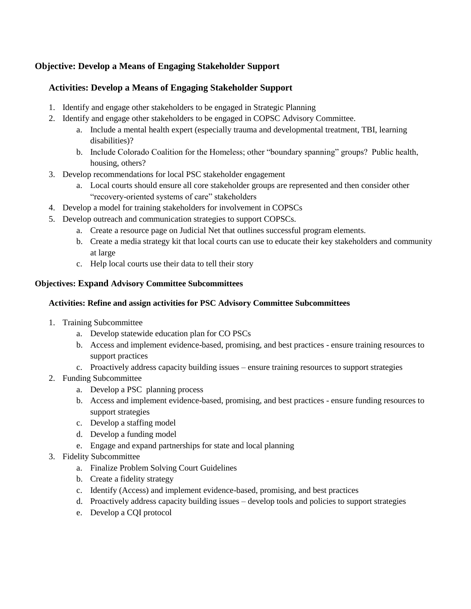### **Objective: Develop a Means of Engaging Stakeholder Support**

#### **Activities: Develop a Means of Engaging Stakeholder Support**

- 1. Identify and engage other stakeholders to be engaged in Strategic Planning
- 2. Identify and engage other stakeholders to be engaged in COPSC Advisory Committee.
	- a. Include a mental health expert (especially trauma and developmental treatment, TBI, learning disabilities)?
	- b. Include Colorado Coalition for the Homeless; other "boundary spanning" groups? Public health, housing, others?
- 3. Develop recommendations for local PSC stakeholder engagement
	- a. Local courts should ensure all core stakeholder groups are represented and then consider other "recovery-oriented systems of care" stakeholders
- 4. Develop a model for training stakeholders for involvement in COPSCs
- 5. Develop outreach and communication strategies to support COPSCs.
	- a. Create a resource page on Judicial Net that outlines successful program elements.
	- b. Create a media strategy kit that local courts can use to educate their key stakeholders and community at large
	- c. Help local courts use their data to tell their story

#### **Objectives: Expand Advisory Committee Subcommittees**

#### **Activities: Refine and assign activities for PSC Advisory Committee Subcommittees**

- 1. Training Subcommittee
	- a. Develop statewide education plan for CO PSCs
	- b. Access and implement evidence-based, promising, and best practices ensure training resources to support practices
	- c. Proactively address capacity building issues ensure training resources to support strategies
- 2. Funding Subcommittee
	- a. Develop a PSC planning process
	- b. Access and implement evidence-based, promising, and best practices ensure funding resources to support strategies
	- c. Develop a staffing model
	- d. Develop a funding model
	- e. Engage and expand partnerships for state and local planning
- 3. Fidelity Subcommittee
	- a. Finalize Problem Solving Court Guidelines
	- b. Create a fidelity strategy
	- c. Identify (Access) and implement evidence-based, promising, and best practices
	- d. Proactively address capacity building issues develop tools and policies to support strategies
	- e. Develop a CQI protocol